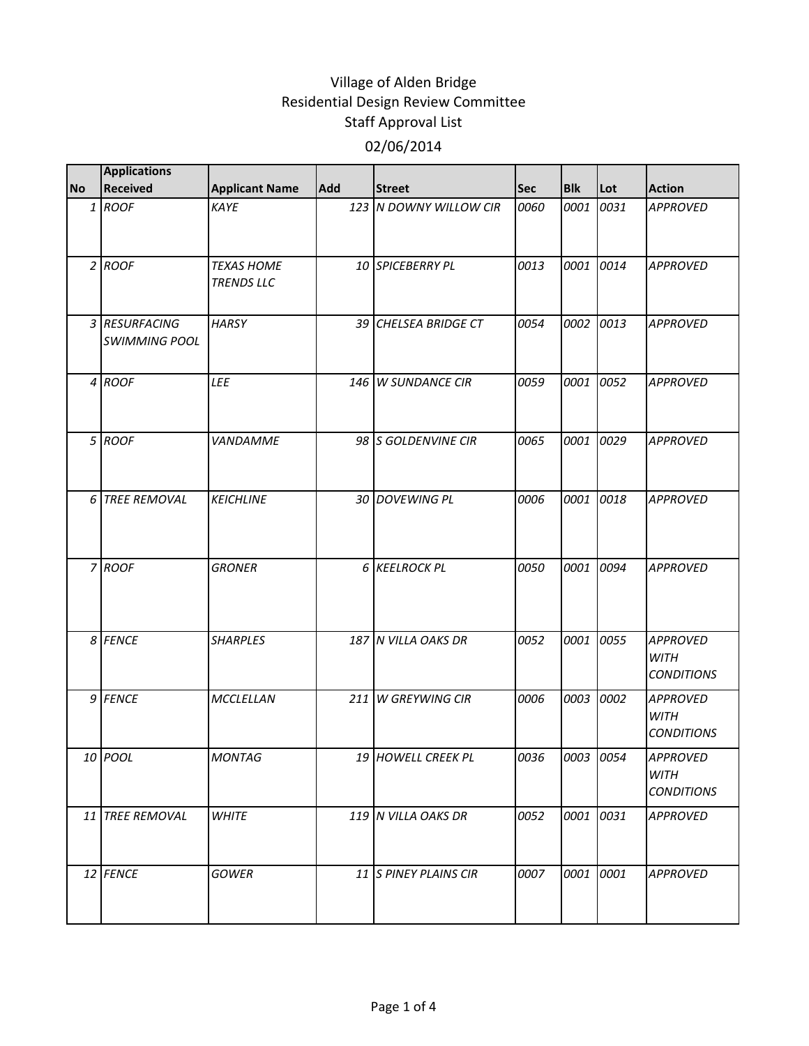| <b>No</b>      | <b>Applications</b><br><b>Received</b> | <b>Applicant Name</b>                  | <b>Add</b> | <b>Street</b>          | Sec  | <b>Blk</b> | Lot  | <b>Action</b>                                       |
|----------------|----------------------------------------|----------------------------------------|------------|------------------------|------|------------|------|-----------------------------------------------------|
|                | 1 ROOF                                 | KAYE                                   |            | 123 N DOWNY WILLOW CIR | 0060 | 0001       | 0031 | <b>APPROVED</b>                                     |
|                | $2$ ROOF                               | <b>TEXAS HOME</b><br><b>TRENDS LLC</b> |            | 10 SPICEBERRY PL       | 0013 | 0001       | 0014 | <b>APPROVED</b>                                     |
|                | 3 RESURFACING<br><b>SWIMMING POOL</b>  | <b>HARSY</b>                           |            | 39 CHELSEA BRIDGE CT   | 0054 | 0002       | 0013 | <b>APPROVED</b>                                     |
|                | 4 ROOF                                 | LEE                                    | 146 l      | <b>W SUNDANCE CIR</b>  | 0059 | 0001       | 0052 | <b>APPROVED</b>                                     |
|                | 5 ROOF                                 | <b>VANDAMME</b>                        |            | 98 S GOLDENVINE CIR    | 0065 | 0001       | 0029 | <b>APPROVED</b>                                     |
| 6 <sup>1</sup> | <b>TREE REMOVAL</b>                    | <b>KEICHLINE</b>                       |            | 30 DOVEWING PL         | 0006 | 0001       | 0018 | <b>APPROVED</b>                                     |
|                | 7 ROOF                                 | <b>GRONER</b>                          |            | 6 KEELROCK PL          | 0050 | 0001       | 0094 | <b>APPROVED</b>                                     |
|                | 8 FENCE                                | <b>SHARPLES</b>                        |            | 187 N VILLA OAKS DR    | 0052 | 0001       | 0055 | <b>APPROVED</b><br><b>WITH</b><br><b>CONDITIONS</b> |
|                | 9 FENCE                                | MCCLELLAN                              | 211        | <b>W GREYWING CIR</b>  | 0006 | 0003       | 0002 | <b>APPROVED</b><br><b>WITH</b><br><b>CONDITIONS</b> |
|                | 10 POOL                                | MONTAG                                 |            | 19 HOWELL CREEK PL     | 0036 | 0003 0054  |      | <b>APPROVED</b><br><b>WITH</b><br><b>CONDITIONS</b> |
|                | 11 TREE REMOVAL                        | <b>WHITE</b>                           |            | 119 N VILLA OAKS DR    | 0052 | 0001 0031  |      | <b>APPROVED</b>                                     |
|                | 12 FENCE                               | <b>GOWER</b>                           |            | 11 S PINEY PLAINS CIR  | 0007 | 0001       | 0001 | <b>APPROVED</b>                                     |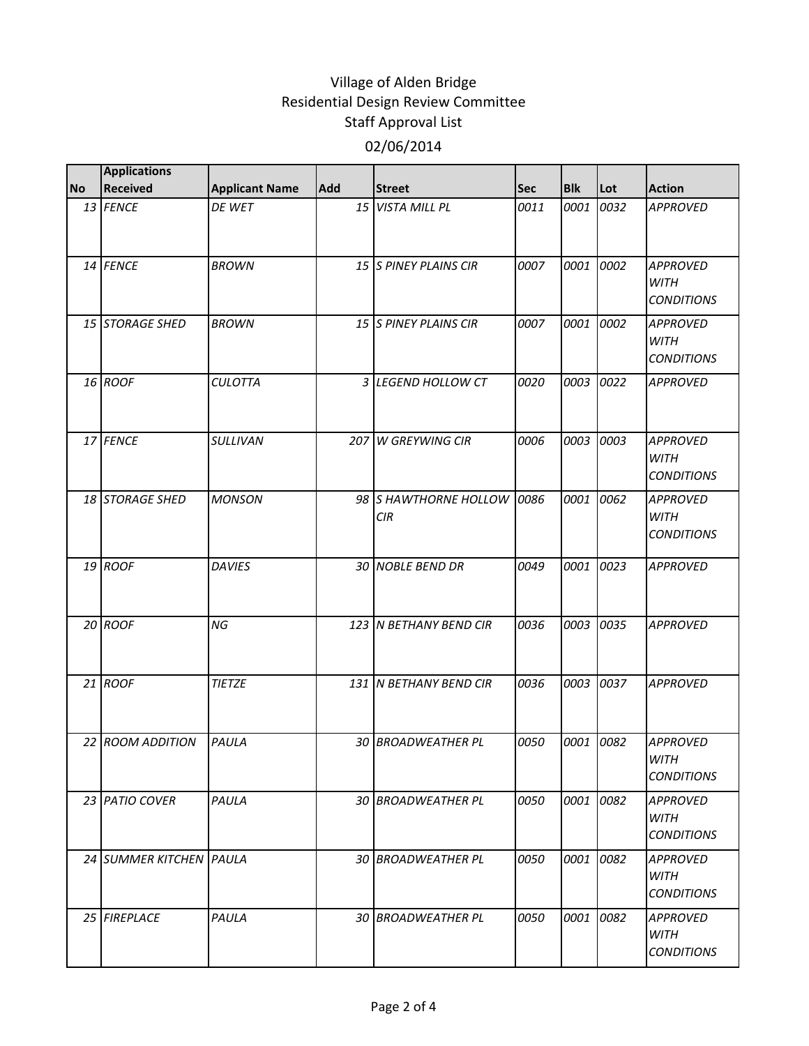|           | <b>Applications</b>     |                       |            |                                     |      |            |      |                                                     |
|-----------|-------------------------|-----------------------|------------|-------------------------------------|------|------------|------|-----------------------------------------------------|
| <b>No</b> | <b>Received</b>         | <b>Applicant Name</b> | <b>Add</b> | <b>Street</b>                       | Sec  | <b>Blk</b> | Lot  | <b>Action</b>                                       |
|           | 13 FENCE                | DE WET                |            | 15 VISTA MILL PL                    | 0011 | 0001       | 0032 | <b>APPROVED</b>                                     |
|           | 14 FENCE                | <b>BROWN</b>          |            | 15 S PINEY PLAINS CIR               | 0007 | 0001       | 0002 | <b>APPROVED</b><br><b>WITH</b><br><b>CONDITIONS</b> |
|           | 15 STORAGE SHED         | <b>BROWN</b>          |            | 15 S PINEY PLAINS CIR               | 0007 | 0001       | 0002 | <b>APPROVED</b><br><b>WITH</b><br><b>CONDITIONS</b> |
|           | 16 ROOF                 | <b>CULOTTA</b>        |            | 3 LEGEND HOLLOW CT                  | 0020 | 0003       | 0022 | <b>APPROVED</b>                                     |
|           | 17 FENCE                | <b>SULLIVAN</b>       | 207        | <b>W GREYWING CIR</b>               | 0006 | 0003       | 0003 | <b>APPROVED</b><br><b>WITH</b><br><b>CONDITIONS</b> |
|           | 18 STORAGE SHED         | <b>MONSON</b>         |            | 98 S HAWTHORNE HOLLOW<br><b>CIR</b> | 0086 | 0001       | 0062 | <b>APPROVED</b><br><b>WITH</b><br><b>CONDITIONS</b> |
|           | 19 ROOF                 | <b>DAVIES</b>         |            | 30 NOBLE BEND DR                    | 0049 | 0001       | 0023 | <b>APPROVED</b>                                     |
|           | 20 ROOF                 | NG                    |            | 123 N BETHANY BEND CIR              | 0036 | 0003       | 0035 | <b>APPROVED</b>                                     |
|           | 21 ROOF                 | <b>TIETZE</b>         |            | 131 N BETHANY BEND CIR              | 0036 | 0003       | 0037 | <b>APPROVED</b>                                     |
|           | 22 ROOM ADDITION        | PAULA                 | 30         | <b>BROADWEATHER PL</b>              | 0050 | 0001       | 0082 | <b>APPROVED</b><br>WITH<br><i>CONDITIONS</i>        |
|           | 23 PATIO COVER          | PAULA                 |            | 30 BROADWEATHER PL                  | 0050 | 0001       | 0082 | <b>APPROVED</b><br><b>WITH</b><br><b>CONDITIONS</b> |
|           | 24 SUMMER KITCHEN PAULA |                       |            | 30 BROADWEATHER PL                  | 0050 | 0001       | 0082 | <b>APPROVED</b><br>WITH<br><b>CONDITIONS</b>        |
|           | 25 FIREPLACE            | PAULA                 |            | 30 BROADWEATHER PL                  | 0050 | 0001       | 0082 | <b>APPROVED</b><br>WITH<br><b>CONDITIONS</b>        |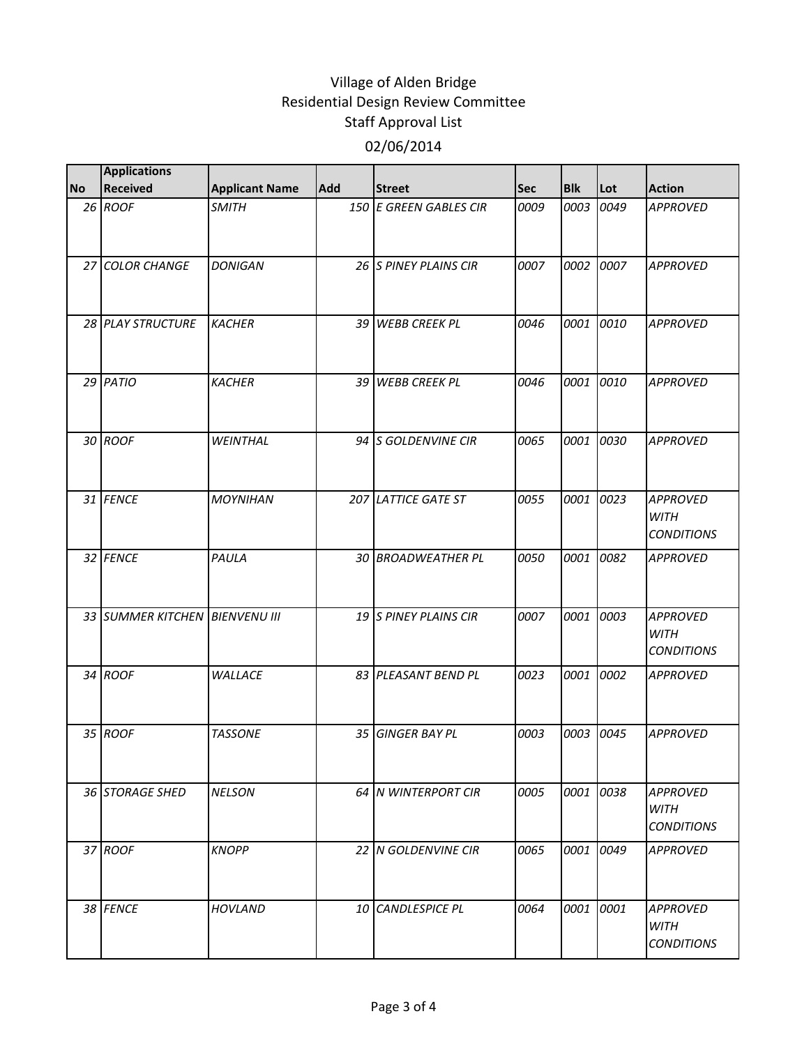|           | <b>Applications</b>            |                       |            |                        |      |            |      |                                                     |
|-----------|--------------------------------|-----------------------|------------|------------------------|------|------------|------|-----------------------------------------------------|
| <b>No</b> | <b>Received</b>                | <b>Applicant Name</b> | <b>Add</b> | <b>Street</b>          | Sec  | <b>Blk</b> | Lot  | <b>Action</b>                                       |
|           | 26 ROOF                        | <b>SMITH</b>          |            | 150 E GREEN GABLES CIR | 0009 | 0003       | 0049 | <b>APPROVED</b>                                     |
|           | 27 COLOR CHANGE                | <b>DONIGAN</b>        |            | 26 S PINEY PLAINS CIR  | 0007 | 0002       | 0007 | <b>APPROVED</b>                                     |
|           | 28 PLAY STRUCTURE              | <b>KACHER</b>         |            | 39 WEBB CREEK PL       | 0046 | 0001       | 0010 | <b>APPROVED</b>                                     |
|           | 29 PATIO                       | <b>KACHER</b>         |            | 39 WEBB CREEK PL       | 0046 | 0001       | 0010 | <b>APPROVED</b>                                     |
|           | 30 ROOF                        | <b>WEINTHAL</b>       |            | 94 S GOLDENVINE CIR    | 0065 | 0001       | 0030 | <b>APPROVED</b>                                     |
|           | 31 FENCE                       | <b>MOYNIHAN</b>       |            | 207 LATTICE GATE ST    | 0055 | 0001       | 0023 | <b>APPROVED</b><br><b>WITH</b><br><b>CONDITIONS</b> |
|           | 32 FENCE                       | PAULA                 |            | 30 BROADWEATHER PL     | 0050 | 0001       | 0082 | <b>APPROVED</b>                                     |
|           | 33 SUMMER KITCHEN BIENVENU III |                       |            | 19 S PINEY PLAINS CIR  | 0007 | 0001       | 0003 | <b>APPROVED</b><br><b>WITH</b><br><b>CONDITIONS</b> |
|           | 34 ROOF                        | <b>WALLACE</b>        |            | 83 PLEASANT BEND PL    | 0023 | 0001       | 0002 | <b>APPROVED</b>                                     |
|           | 35 ROOF                        | <b>TASSONE</b>        |            | 35 GINGER BAY PL       | 0003 | 0003       | 0045 | <b>APPROVED</b>                                     |
|           | 36 STORAGE SHED                | <b>NELSON</b>         |            | 64 N WINTERPORT CIR    | 0005 | 0001       | 0038 | <b>APPROVED</b><br>WITH<br><i>CONDITIONS</i>        |
|           | 37 ROOF                        | <b>KNOPP</b>          |            | 22 N GOLDENVINE CIR    | 0065 | 0001       | 0049 | <b>APPROVED</b>                                     |
|           | 38 FENCE                       | <b>HOVLAND</b>        |            | 10 CANDLESPICE PL      | 0064 | 0001       | 0001 | <b>APPROVED</b><br><b>WITH</b><br><b>CONDITIONS</b> |